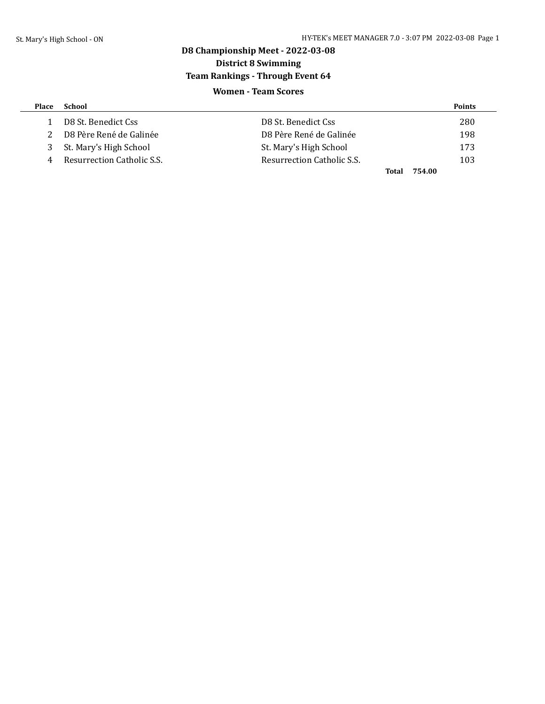## **D8 Championship Meet - 2022-03-08 District 8 Swimming Team Rankings - Through Event 64 Women - Team Scores**

| <b>Place</b> | School                     |                            | <b>Points</b> |
|--------------|----------------------------|----------------------------|---------------|
|              | D8 St. Benedict Css        | D8 St. Benedict Css        | 280           |
|              | D8 Père René de Galinée    | D8 Père René de Galinée    | 198           |
| 3            | St. Mary's High School     | St. Mary's High School     | 173           |
| 4            | Resurrection Catholic S.S. | Resurrection Catholic S.S. | 103           |
|              |                            | Total                      | 754.00        |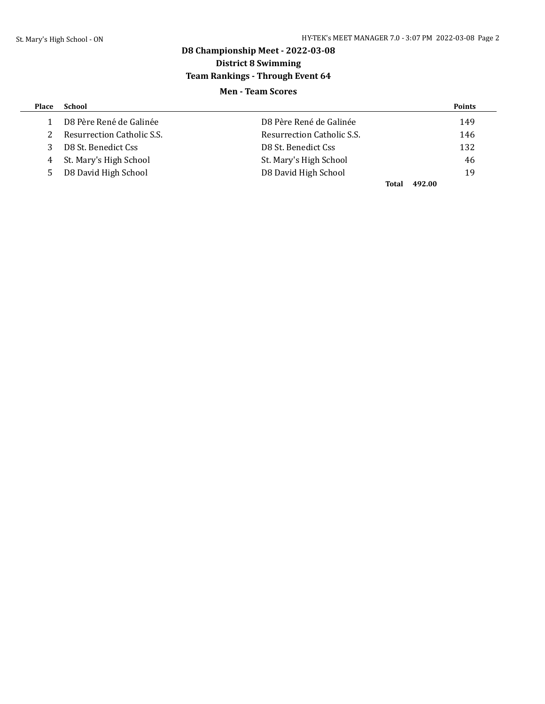## **D8 Championship Meet - 2022-03-08 District 8 Swimming Team Rankings - Through Event 64 Men - Team Scores**

| Place | School                     |                            | <b>Points</b>   |
|-------|----------------------------|----------------------------|-----------------|
|       | D8 Père René de Galinée    | D8 Père René de Galinée    | 149             |
| 2.    | Resurrection Catholic S.S. | Resurrection Catholic S.S. | 146             |
| 3     | D8 St. Benedict Css        | D8 St. Benedict Css        | 132             |
| 4     | St. Mary's High School     | St. Mary's High School     | 46              |
| 5.    | D8 David High School       | D8 David High School       | 19              |
|       |                            |                            | 492.00<br>Total |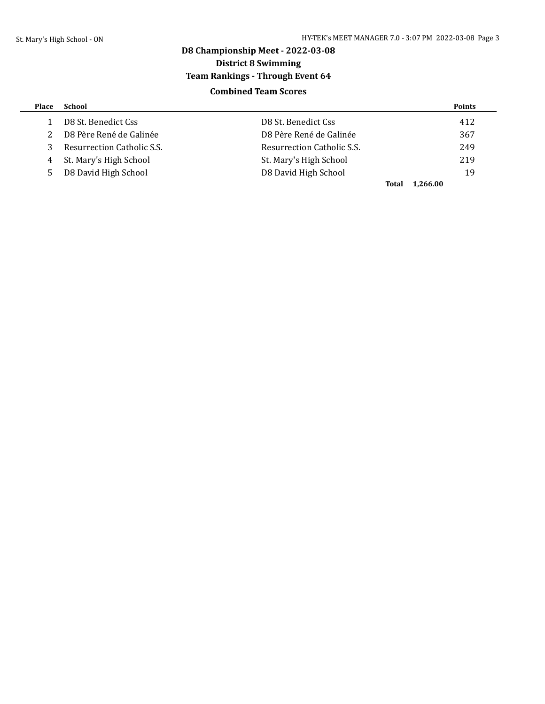## **D8 Championship Meet - 2022-03-08 District 8 Swimming Team Rankings - Through Event 64 Combined Team Scores**

| <b>Place</b> | School                     |                            | <b>Points</b> |
|--------------|----------------------------|----------------------------|---------------|
|              | D8 St. Benedict Css        | D8 St. Benedict Css        | 412           |
|              | D8 Père René de Galinée    | D8 Père René de Galinée    | 367           |
|              | Resurrection Catholic S.S. | Resurrection Catholic S.S. | 249           |
| 4            | St. Mary's High School     | St. Mary's High School     | 219           |
| 5.           | D8 David High School       | D8 David High School       | 19            |
|              |                            | 1.266.00<br>Total          |               |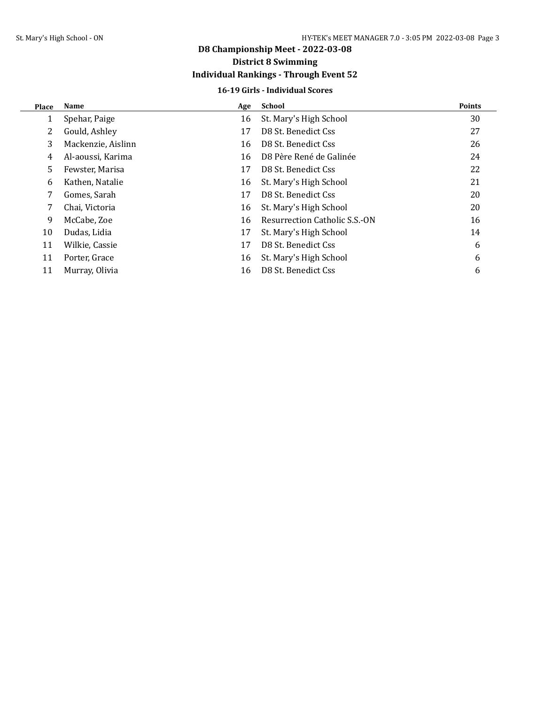## **D8 Championship Meet - 2022-03-08 District 8 Swimming Individual Rankings - Through Event 52**

# **16-19 Girls - Individual Scores**

| Place | Name               | Age | <b>School</b>                 | <b>Points</b> |
|-------|--------------------|-----|-------------------------------|---------------|
|       | Spehar, Paige      | 16  | St. Mary's High School        | 30            |
| 2     | Gould, Ashley      | 17  | D8 St. Benedict Css           | 27            |
| 3     | Mackenzie, Aislinn | 16  | D8 St. Benedict Css           | 26            |
| 4     | Al-aoussi, Karima  | 16  | D8 Père René de Galinée       | 24            |
| 5.    | Fewster, Marisa    | 17  | D8 St. Benedict Css           | 22            |
| 6     | Kathen, Natalie    | 16  | St. Mary's High School        | 21            |
| 7     | Gomes, Sarah       | 17  | D8 St. Benedict Css           | 20            |
| 7     | Chai, Victoria     | 16  | St. Mary's High School        | 20            |
| 9     | McCabe, Zoe        | 16  | Resurrection Catholic S.S.-ON | 16            |
| 10    | Dudas, Lidia       | 17  | St. Mary's High School        | 14            |
| 11    | Wilkie, Cassie     | 17  | D8 St. Benedict Css           | 6             |
| 11    | Porter, Grace      | 16  | St. Mary's High School        | 6             |
| 11    | Murray, Olivia     | 16  | D8 St. Benedict Css           | 6             |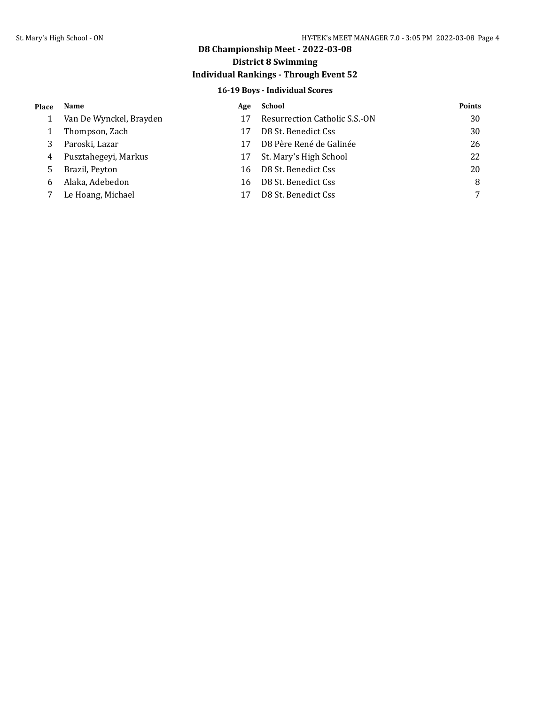## **D8 Championship Meet - 2022-03-08**

## **District 8 Swimming**

## **Individual Rankings - Through Event 52**

### **16-19 Boys - Individual Scores**

| Place | Name                    | Age | School                        | <b>Points</b> |
|-------|-------------------------|-----|-------------------------------|---------------|
|       | Van De Wynckel, Brayden |     | Resurrection Catholic S.S.-ON | 30            |
|       | Thompson, Zach          |     | D8 St. Benedict Css           | 30            |
| 3     | Paroski, Lazar          | 17  | D8 Père René de Galinée       | 26            |
| 4     | Pusztahegeyi, Markus    | 17  | St. Mary's High School        | 22            |
| 5.    | Brazil, Peyton          | 16  | D8 St. Benedict Css           | 20            |
| 6     | Alaka, Adebedon         | 16  | D8 St. Benedict Css           | 8             |
|       | Le Hoang, Michael       |     | D8 St. Benedict Css           |               |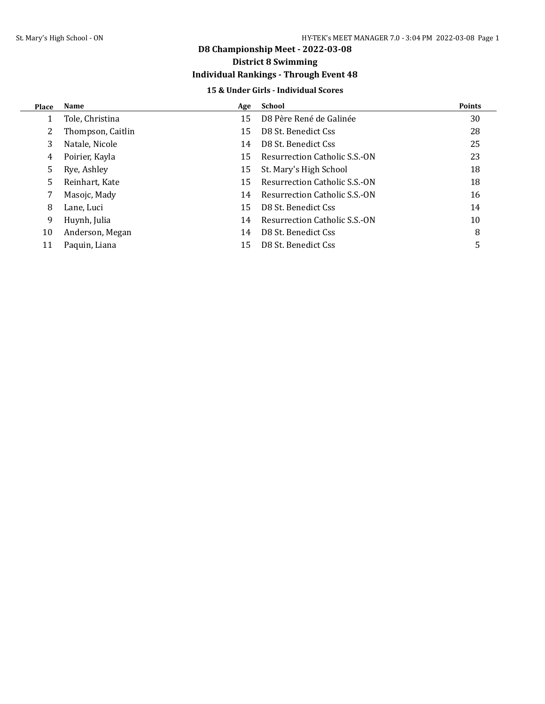## **D8 Championship Meet - 2022-03-08 District 8 Swimming**

## **Individual Rankings - Through Event 48**

### **15 & Under Girls - Individual Scores**

| <b>Place</b> | Name              | Age | <b>School</b>                 | <b>Points</b> |
|--------------|-------------------|-----|-------------------------------|---------------|
|              | Tole, Christina   | 15  | D8 Père René de Galinée       | 30            |
|              | Thompson, Caitlin | 15  | D8 St. Benedict Css           | 28            |
| 3            | Natale, Nicole    | 14  | D8 St. Benedict Css           | 25            |
| 4            | Poirier, Kayla    | 15  | Resurrection Catholic S.S.-ON | 23            |
| 5            | Rye, Ashley       | 15  | St. Mary's High School        | 18            |
| 5.           | Reinhart, Kate    | 15  | Resurrection Catholic S.S.-ON | 18            |
|              | Masojc, Mady      | 14  | Resurrection Catholic S.S.-ON | 16            |
| 8            | Lane, Luci        | 15  | D8 St. Benedict Css           | 14            |
| 9            | Huynh, Julia      | 14  | Resurrection Catholic S.S.-ON | 10            |
| 10           | Anderson, Megan   | 14  | D8 St. Benedict Css           | 8             |
| 11           | Paquin, Liana     | 15  | D8 St. Benedict Css           |               |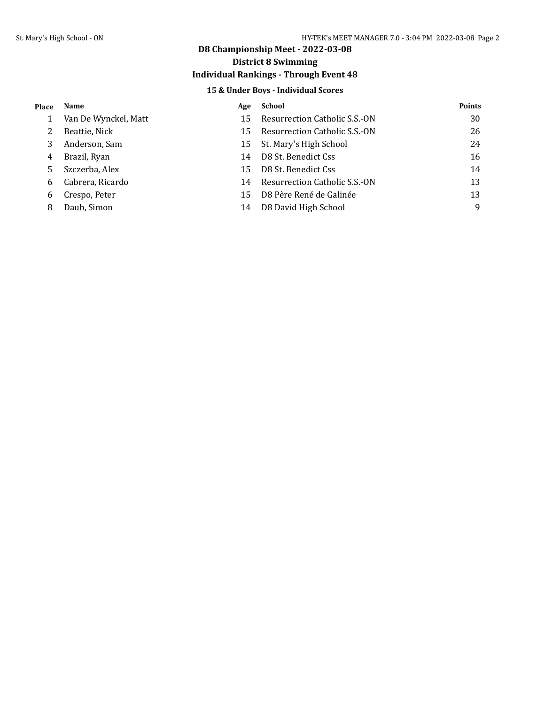# **D8 Championship Meet - 2022-03-08**

## **District 8 Swimming**

## **Individual Rankings - Through Event 48**

### **15 & Under Boys - Individual Scores**

| <b>Place</b> | Name                 | Age | School                        | <b>Points</b> |
|--------------|----------------------|-----|-------------------------------|---------------|
|              | Van De Wynckel, Matt | 15  | Resurrection Catholic S.S.-ON | 30            |
|              | Beattie, Nick        | 15  | Resurrection Catholic S.S.-ON | 26            |
|              | Anderson, Sam        | 15  | St. Mary's High School        | 24            |
| 4            | Brazil, Ryan         | 14  | D8 St. Benedict Css           | 16            |
|              | Szczerba, Alex       | 15  | D8 St. Benedict Css           | 14            |
| 6            | Cabrera, Ricardo     | 14  | Resurrection Catholic S.S.-ON | 13            |
| 6            | Crespo, Peter        | 15  | D8 Père René de Galinée       | 13            |
| 8            | Daub, Simon          | 14  | D8 David High School          | q             |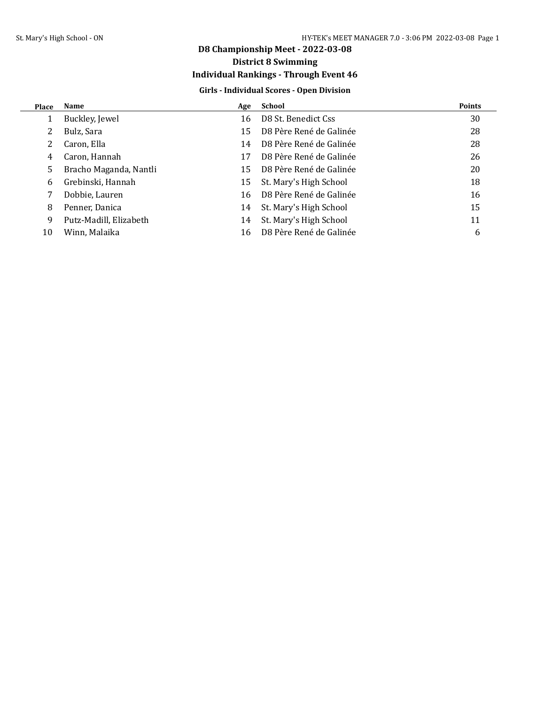## **D8 Championship Meet - 2022-03-08 District 8 Swimming**

## **Individual Rankings - Through Event 46**

### **Girls - Individual Scores - Open Division**

| Place | Name                   | Age | School                  | <b>Points</b> |
|-------|------------------------|-----|-------------------------|---------------|
|       | Buckley, Jewel         | 16  | D8 St. Benedict Css     | 30            |
|       | Bulz, Sara             | 15  | D8 Père René de Galinée | 28            |
|       | Caron, Ella            | 14  | D8 Père René de Galinée | 28            |
| 4     | Caron, Hannah          | 17  | D8 Père René de Galinée | 26            |
| 5.    | Bracho Maganda, Nantli | 15  | D8 Père René de Galinée | 20            |
| 6     | Grebinski, Hannah      | 15  | St. Mary's High School  | 18            |
|       | Dobbie, Lauren         | 16  | D8 Père René de Galinée | 16            |
| 8     | Penner, Danica         | 14  | St. Mary's High School  | 15            |
| 9     | Putz-Madill, Elizabeth | 14  | St. Mary's High School  | 11            |
| 10    | Winn, Malaika          | 16  | D8 Père René de Galinée | 6             |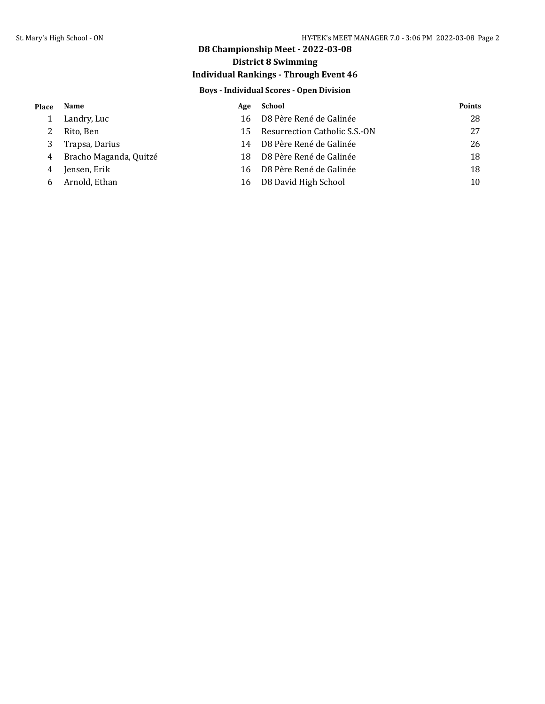## **D8 Championship Meet - 2022-03-08**

## **District 8 Swimming**

## **Individual Rankings - Through Event 46**

### **Boys - Individual Scores - Open Division**

| Place | Name                   | Age | School                        | <b>Points</b> |
|-------|------------------------|-----|-------------------------------|---------------|
|       | Landry, Luc            | 16  | D8 Père René de Galinée       | 28            |
|       | Rito, Ben              | 15  | Resurrection Catholic S.S.-ON | 27            |
| 3     | Trapsa, Darius         | 14  | D8 Père René de Galinée       | 26            |
| 4     | Bracho Maganda, Quitzé | 18  | D8 Père René de Galinée       | 18            |
| 4     | Jensen, Erik           | 16  | D8 Père René de Galinée       | 18            |
| h     | Arnold, Ethan          | 16  | D8 David High School          | 10            |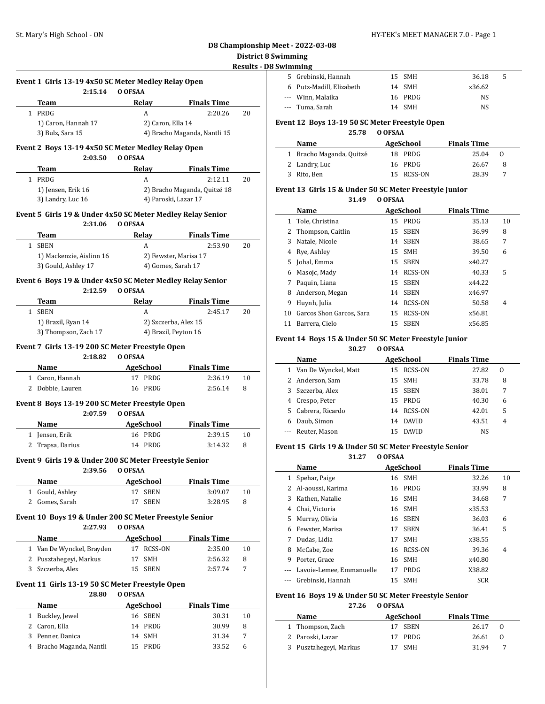### **D8 Championship Meet - 2022-03-08 B** Swimming

### **D8 Swimming**

 $\frac{1}{2}$ 

 $\sim$ 

| 5 Grebinski, Hannah      | 15 SMH  | 36.18  | 5 |
|--------------------------|---------|--------|---|
| 6 Putz-Madill, Elizabeth | 14 SMH  | x36.62 |   |
| --- Winn, Malaika        | 16 PRDG | NS.    |   |
| --- Tuma. Sarah          | 14 SMH  | NS     |   |

#### **Event 12 Boys 13-19 50 SC Meter Freestyle Open**

### **25.78 O OFSAA**

| <b>Name</b>              | AgeSchool  | <b>Finals Time</b> |     |
|--------------------------|------------|--------------------|-----|
| 1 Bracho Maganda, Quitzé | 18 PRDG    | 25.04              | - 0 |
| 2 Landry, Luc            | 16 PRDG    | 26.67              | -8  |
| 3 Rito, Ben              | 15 RCSS-ON | 28.39              |     |

#### **Event 13 Girls 15 & Under 50 SC Meter Freestyle Junior 31.49 O OFSAA**

|              | Name                     |    | AgeSchool      | <b>Finals Time</b> |    |
|--------------|--------------------------|----|----------------|--------------------|----|
| $\mathbf{1}$ | Tole, Christina          | 15 | PRDG           | 35.13              | 10 |
|              | 2 Thompson, Caitlin      | 15 | <b>SBEN</b>    | 36.99              | 8  |
| 3            | Natale, Nicole           | 14 | <b>SBEN</b>    | 38.65              | 7  |
| 4            | Rye, Ashley              |    | 15 SMH         | 39.50              | 6  |
| 5.           | Johal, Emma              | 15 | <b>SBEN</b>    | x40.27             |    |
| 6            | Masojc, Mady             | 14 | RCSS-ON        | 40.33              | 5  |
|              | Paquin, Liana            | 15 | <b>SBEN</b>    | x44.22             |    |
| 8            | Anderson, Megan          | 14 | <b>SBEN</b>    | x46.97             |    |
| 9            | Huynh, Julia             | 14 | <b>RCSS-ON</b> | 50.58              | 4  |
| 10           | Garcos Shon Garcos, Sara | 15 | <b>RCSS-ON</b> | x56.81             |    |
| 11           | Barrera, Cielo           | 15 | <b>SBEN</b>    | x56.85             |    |

### **Event 14 Boys 15 & Under 50 SC Meter Freestyle Junior**

| 30.27 | O OFSAA |
|-------|---------|
|-------|---------|

|    | Name<br>AgeSchool      |     |              | <b>Finals Time</b> |                |  |
|----|------------------------|-----|--------------|--------------------|----------------|--|
|    | 1 Van De Wynckel, Matt |     | 15 RCSS-ON   | 27.82              | $\Omega$       |  |
|    | 2 Anderson, Sam        |     | 15 SMH       | 33.78              | 8              |  |
| 3  | Szczerba, Alex         |     | 15 SBEN      | 38.01              | 7              |  |
| 4  | Crespo, Peter          | 15. | PRDG         | 40.30              | 6              |  |
| 5. | Cabrera, Ricardo       | 14  | RCSS-ON      | 42.01              | 5              |  |
| 6  | Daub, Simon            | 14  | <b>DAVID</b> | 43.51              | $\overline{4}$ |  |
|    | Reuter, Mason          |     | <b>DAVID</b> | NS                 |                |  |

#### **Event 15 Girls 19 & Under 50 SC Meter Freestyle Senior**

**31.27 O OFSAA**

|   | Name                     |    | <b>AgeSchool</b> | <b>Finals Time</b> |                |
|---|--------------------------|----|------------------|--------------------|----------------|
| 1 | Spehar, Paige            | 16 | <b>SMH</b>       | 32.26              | 10             |
| 2 | Al-aoussi, Karima        |    | 16 PRDG          | 33.99              | 8              |
| 3 | Kathen, Natalie          | 16 | <b>SMH</b>       | 34.68              | 7              |
| 4 | Chai, Victoria           | 16 | <b>SMH</b>       | x35.53             |                |
| 5 | Murray, Olivia           | 16 | <b>SBEN</b>      | 36.03              | 6              |
| 6 | Fewster, Marisa          | 17 | <b>SBEN</b>      | 36.41              | 5              |
| 7 | Dudas, Lidia             | 17 | <b>SMH</b>       | x38.55             |                |
| 8 | McCabe, Zoe              |    | 16 RCSS-ON       | 39.36              | $\overline{4}$ |
| 9 | Porter, Grace            | 16 | <b>SMH</b>       | x40.80             |                |
|   | Lavoie-Lemee, Emmanuelle | 17 | PRDG             | X38.82             |                |
|   | Grebinski, Hannah        | 15 | <b>SMH</b>       | <b>SCR</b>         |                |

#### **Event 16 Boys 19 & Under 50 SC Meter Freestyle Senior**

**27.26 O OFSAA**

| Name                   | AgeSchool | <b>Finals Time</b> |          |
|------------------------|-----------|--------------------|----------|
| 1 Thompson, Zach       | 17 SBEN   | 26.17              | 0        |
| 2 Paroski, Lazar       | 17 PRDG   | 26.61              | $\Omega$ |
| 3 Pusztahegeyi, Markus | 17 SMH    | 31.94              |          |

|              |                                                                |         |                       |                               | District<br><b>Results -</b> |
|--------------|----------------------------------------------------------------|---------|-----------------------|-------------------------------|------------------------------|
|              |                                                                |         |                       |                               |                              |
|              | Event 1 Girls 13-19 4x50 SC Meter Medley Relay Open<br>2:15.14 | O OFSAA |                       |                               |                              |
|              | Team                                                           |         | Relay                 | <b>Finals Time</b>            |                              |
|              | 1 PRDG                                                         |         | A                     | 2:20.26                       | 20                           |
|              | 1) Caron, Hannah 17                                            |         | 2) Caron, Ella 14     |                               |                              |
|              | 3) Bulz, Sara 15                                               |         |                       | 4) Bracho Maganda, Nantli 15  |                              |
|              | Event 2 Boys 13-19 4x50 SC Meter Medley Relay Open             |         |                       |                               |                              |
|              | 2:03.50<br>Team                                                | O OFSAA | Relay                 | <b>Finals Time</b>            |                              |
|              | 1 PRDG                                                         |         | A                     | 2:12.11                       | 20                           |
|              | 1) Jensen, Erik 16                                             |         |                       | 2) Bracho Maganda, Quitzé 18  |                              |
|              | 3) Landry, Luc 16                                              |         | 4) Paroski, Lazar 17  |                               |                              |
|              | Event 5 Girls 19 & Under 4x50 SC Meter Medley Relay Senior     |         |                       |                               |                              |
|              | 2:31.06                                                        | O OFSAA |                       |                               |                              |
|              | Team                                                           |         | Relay                 | <b>Finals Time</b>            |                              |
|              | 1 SBEN                                                         |         | A                     | 2:53.90                       | 20                           |
|              | 1) Mackenzie, Aislinn 16                                       |         | 2) Fewster, Marisa 17 |                               |                              |
|              | 3) Gould, Ashley 17                                            |         | 4) Gomes, Sarah 17    |                               |                              |
|              | Event 6 Boys 19 & Under 4x50 SC Meter Medley Relay Senior      |         |                       |                               |                              |
|              | 2:12.59                                                        | O OFSAA |                       |                               |                              |
|              | Team                                                           |         | Relav                 | <b>Finals Time</b>            |                              |
|              | 1 SBEN                                                         |         | A                     | 2:45.17                       | 20                           |
|              | 1) Brazil, Ryan 14                                             |         | 2) Szczerba, Alex 15  |                               |                              |
|              | 3) Thompson, Zach 17                                           |         | 4) Brazil, Peyton 16  |                               |                              |
|              | Event 7 Girls 13-19 200 SC Meter Freestyle Open                |         |                       |                               |                              |
|              | 2:18.82                                                        | O OFSAA |                       |                               |                              |
|              | Name                                                           |         | AgeSchool             | <b>Finals Time</b>            |                              |
|              | 1 Caron, Hannah                                                |         | 17 PRDG               | 2:36.19                       | 10                           |
|              | 2 Dobbie, Lauren                                               |         | 16 PRDG               | 2:56.14                       | 8                            |
|              | Event 8 Boys 13-19 200 SC Meter Freestyle Open                 |         |                       |                               |                              |
|              | 2:07.59                                                        | O OFSAA |                       |                               |                              |
|              | Name                                                           |         | AgeSchool             | Finals Time                   |                              |
|              | 1 Jensen, Erik                                                 |         | 16 PRDG               | 2:39.15                       | 10                           |
| 2            | Trapsa, Darius                                                 |         | 14 PRDG               | 3:14.32                       | 8                            |
|              | Event 9 Girls 19 & Under 200 SC Meter Freestyle Senior         |         |                       |                               |                              |
|              | 2:39.56                                                        | O OFSAA |                       |                               |                              |
|              | Name                                                           |         | AgeSchool             | <b>Finals Time</b>            |                              |
| $1 \quad$    | Gould, Ashley                                                  | 17      | <b>SBEN</b>           | 3:09.07                       | 10                           |
|              | 2 Gomes, Sarah                                                 | 17      | SBEN                  | 3:28.95                       | 8                            |
|              | Event 10 Boys 19 & Under 200 SC Meter Freestyle Senior         |         |                       |                               |                              |
|              | 2:27.93                                                        | O OFSAA |                       |                               |                              |
|              | Name                                                           |         | AgeSchool             | <b>Finals Time</b><br>2:35.00 |                              |
|              | 1 Van De Wynckel, Brayden                                      |         | 17 RCSS-ON            |                               | 10                           |
|              | 2 Pusztahegeyi, Markus                                         | 17      | SMH                   | 2:56.32                       | 8                            |
|              | 3 Szczerba, Alex                                               |         | 15 SBEN               | 2:57.74                       | 7                            |
|              | Event 11 Girls 13-19 50 SC Meter Freestyle Open                |         |                       |                               |                              |
|              | 28.80                                                          | O OFSAA |                       |                               |                              |
|              | Name<br>Buckley, Jewel                                         |         | AgeSchool             | <b>Finals Time</b>            |                              |
| $\mathbf{1}$ |                                                                | 16      | SBEN                  | 30.31                         | 10                           |

| 2 Caron, Ella            | 14 PRDG | 30.99 | 8 |
|--------------------------|---------|-------|---|
| 3 Penner, Danica         | 14 SMH  | 31.34 |   |
| 4 Bracho Maganda, Nantli | 15 PRDG | 33.52 | 6 |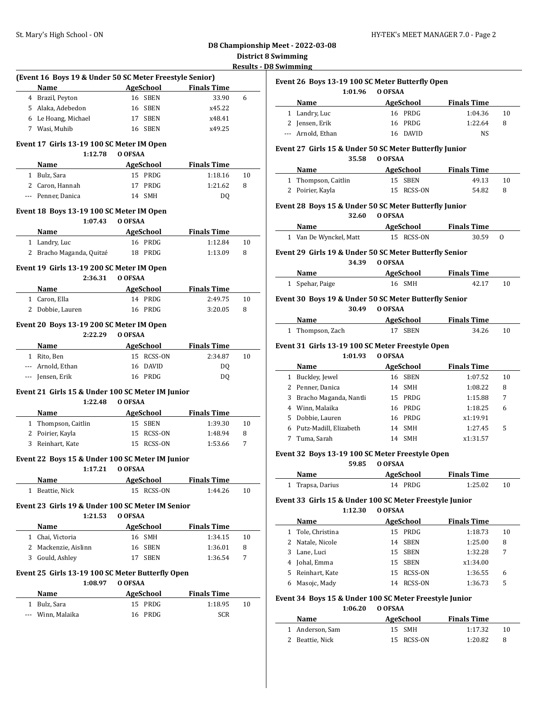### **D8 Championship Meet - 2022-03-08 District 8 Swimming Results - D8 Swimming**

|                                                                                                                 |                            |                       | Results - |
|-----------------------------------------------------------------------------------------------------------------|----------------------------|-----------------------|-----------|
| (Event 16 Boys 19 & Under 50 SC Meter Freestyle Senior)                                                         |                            |                       |           |
| Name                                                                                                            | <b>Example 2</b> AgeSchool | <b>Finals Time</b>    |           |
| 4 Brazil, Peyton                                                                                                | 16 SBEN                    | 33.90                 | 6         |
| 5 Alaka, Adebedon                                                                                               | 16 SBEN                    | x45.22                |           |
| 6 Le Hoang, Michael                                                                                             | 17 SBEN                    | x48.41                |           |
| 7 Wasi, Muhib                                                                                                   | 16 SBEN                    | x49.25                |           |
| Event 17 Girls 13-19 100 SC Meter IM Open<br>1:12.78                                                            | O OFSAA                    |                       |           |
| Name                                                                                                            | AgeSchool                  | <b>Finals Time</b>    |           |
| 1 Bulz, Sara                                                                                                    | 15 PRDG                    | 1:18.16               | 10        |
| 2 Caron, Hannah                                                                                                 | 17<br>PRDG                 | 1:21.62               | 8         |
| --- Penner, Danica                                                                                              | 14 SMH                     | DQ                    |           |
|                                                                                                                 |                            |                       |           |
| Event 18 Boys 13-19 100 SC Meter IM Open<br>1:07.43                                                             | O OFSAA                    |                       |           |
| Name<br>the control of the control of the                                                                       | <b>AgeSchool</b>           | <b>Finals Time</b>    |           |
| 1 Landry, Luc                                                                                                   | 16 PRDG                    | 1:12.84               | 10        |
| 2 Bracho Maganda, Quitzé                                                                                        | 18 PRDG                    | 1:13.09               | 8         |
| Event 19 Girls 13-19 200 SC Meter IM Open                                                                       |                            |                       |           |
| 2:36.31                                                                                                         | O OFSAA                    |                       |           |
| Name                                                                                                            | <b>AgeSchool</b>           | <b>Finals Time</b>    |           |
| 1 Caron, Ella                                                                                                   | 14 PRDG                    | 2:49.75               | 10        |
| 2 Dobbie, Lauren                                                                                                | 16 PRDG                    | 3:20.05               | 8         |
| Event 20 Boys 13-19 200 SC Meter IM Open                                                                        |                            |                       |           |
| 2:22.29                                                                                                         | O OFSAA                    |                       |           |
| Name                                                                                                            | AgeSchool                  | <b>Finals Time</b>    |           |
| 1 Rito, Ben                                                                                                     | 15 RCSS-ON                 | 2:34.87               | 10        |
| --- Arnold, Ethan                                                                                               | <b>DAVID</b><br>16         | DQ                    |           |
| --- Jensen, Erik                                                                                                | 16 PRDG                    | DQ                    |           |
|                                                                                                                 |                            |                       |           |
| Event 21 Girls 15 & Under 100 SC Meter IM Junior<br>1:22.48                                                     | O OFSAA                    |                       |           |
| Name                                                                                                            | AgeSchool                  | <b>Finals Time</b>    |           |
| 1 Thompson, Caitlin                                                                                             | 15 SBEN                    | 1:39.30               | 10        |
| 2 Poirier, Kayla                                                                                                | 15 RCSS-ON                 | 1:48.94               | 8         |
| 3 Reinhart, Kate                                                                                                | 15 RCSS-ON                 | 1:53.66               | 7         |
|                                                                                                                 |                            |                       |           |
| Event 22 Boys 15 & Under 100 SC Meter IM Junior                                                                 | 1:17.21 0 OFSAA            |                       |           |
| Name and the state of the state of the state of the state of the state of the state of the state of the state o |                            | AgeSchool Finals Time |           |
| 1 Beattie, Nick                                                                                                 | 15 RCSS-ON                 | 1:44.26               | 10        |
| Event 23 Girls 19 & Under 100 SC Meter IM Senior                                                                |                            |                       |           |
| 1:21.53                                                                                                         | O OFSAA                    |                       |           |
| Name                                                                                                            | AgeSchool                  | <b>Finals Time</b>    |           |
| 1 Chai, Victoria                                                                                                | 16 SMH                     | 1:34.15               | 10        |
| 2 Mackenzie, Aislinn                                                                                            | 16 SBEN                    | 1:36.01               | 8         |
| 3 Gould, Ashley                                                                                                 | <b>SBEN</b><br>17          | 1:36.54               | 7         |
|                                                                                                                 |                            |                       |           |
| Event 25 Girls 13-19 100 SC Meter Butterfly Open                                                                |                            |                       |           |
|                                                                                                                 |                            |                       |           |
| 1:08.97<br>Name                                                                                                 | O OFSAA                    | <b>Finals Time</b>    |           |
| 1 Bulz, Sara                                                                                                    | AgeSchool<br>15 PRDG       | 1:18.95               | 10        |

|              | Event 26 Boys 13-19 100 SC Meter Butterfly Open                                                                                                                                                                               |               |           |                       |    |
|--------------|-------------------------------------------------------------------------------------------------------------------------------------------------------------------------------------------------------------------------------|---------------|-----------|-----------------------|----|
|              | 1:01.96                                                                                                                                                                                                                       | O OFSAA       |           |                       |    |
|              | Name and the same state of the state of the state of the state of the state of the state of the state of the state of the state of the state of the state of the state of the state of the state of the state of the state of |               |           | AgeSchool Finals Time |    |
|              | 1 Landry, Luc                                                                                                                                                                                                                 | 16 PRDG       |           | 1:04.36               | 10 |
|              | 2 Jensen, Erik                                                                                                                                                                                                                | 16 PRDG       |           | 1:22.64               | 8  |
|              | --- Arnold, Ethan                                                                                                                                                                                                             | 16 DAVID      |           | <b>NS</b>             |    |
|              |                                                                                                                                                                                                                               |               |           |                       |    |
|              | Event 27 Girls 15 & Under 50 SC Meter Butterfly Junior                                                                                                                                                                        | 35.58 O OFSAA |           |                       |    |
|              | Name                                                                                                                                                                                                                          |               | AgeSchool | <b>Finals Time</b>    |    |
|              | 1 Thompson, Caitlin                                                                                                                                                                                                           | 15 SBEN       |           | 49.13                 | 10 |
|              | 2 Poirier, Kayla                                                                                                                                                                                                              | 15 RCSS-ON    |           | 54.82                 | 8  |
|              | Event 28 Boys 15 & Under 50 SC Meter Butterfly Junior                                                                                                                                                                         |               |           |                       |    |
|              | 32.60                                                                                                                                                                                                                         | O OFSAA       |           |                       |    |
|              | Name AgeSchool                                                                                                                                                                                                                |               |           | <b>Finals Time</b>    |    |
|              | 1 Van De Wynckel, Matt                                                                                                                                                                                                        | 15 RCSS-ON    |           | 30.59                 | 0  |
|              | Event 29 Girls 19 & Under 50 SC Meter Butterfly Senior                                                                                                                                                                        |               |           |                       |    |
|              | 34.39                                                                                                                                                                                                                         | O OFSAA       |           |                       |    |
|              | <b>Name AgeSchool Finals Time</b>                                                                                                                                                                                             |               |           |                       |    |
|              | 1 Spehar, Paige                                                                                                                                                                                                               | 16 SMH        |           | 42.17                 | 10 |
|              | Event 30 Boys 19 & Under 50 SC Meter Butterfly Senior                                                                                                                                                                         |               |           |                       |    |
|              | 30.49                                                                                                                                                                                                                         | O OFSAA       |           |                       |    |
|              | Name AgeSchool Finals Time                                                                                                                                                                                                    |               |           |                       |    |
|              | 1 Thompson, Zach                                                                                                                                                                                                              | 17 SBEN       |           | 34.26                 | 10 |
|              | Event 31 Girls 13-19 100 SC Meter Freestyle Open                                                                                                                                                                              |               |           |                       |    |
|              | 1:01.93                                                                                                                                                                                                                       | O OFSAA       |           |                       |    |
|              | Name<br><b>AgeSchool</b>                                                                                                                                                                                                      |               |           | <b>Finals Time</b>    |    |
|              | 1 Buckley, Jewel                                                                                                                                                                                                              | 16 SBEN       |           | 1:07.52               | 10 |
|              | 2 Penner, Danica                                                                                                                                                                                                              | 14 SMH        |           | 1:08.22               | 8  |
|              | 3 Bracho Maganda, Nantli                                                                                                                                                                                                      | 15 PRDG       |           | 1:15.88               | 7  |
|              | 4 Winn, Malaika                                                                                                                                                                                                               | 16 PRDG       |           | 1:18.25               | 6  |
|              | 5 Dobbie, Lauren                                                                                                                                                                                                              | 16 PRDG       |           | x1:19.91              |    |
|              | 6 Putz-Madill, Elizabeth                                                                                                                                                                                                      | 14 SMH        |           | 1:27.45               | 5  |
|              | 7 Tuma, Sarah                                                                                                                                                                                                                 | 14 SMH        |           | x1:31.57              |    |
|              | Event 32 Boys 13-19 100 SC Meter Freestyle Open                                                                                                                                                                               |               |           |                       |    |
|              | 59.85                                                                                                                                                                                                                         | O OFSAA       |           |                       |    |
|              | Name                                                                                                                                                                                                                          | AgeSchool     |           | <b>Finals Time</b>    |    |
|              | 1 Trapsa, Darius                                                                                                                                                                                                              | 14 PRDG       |           | 1:25.02               | 10 |
|              | Event 33 Girls 15 & Under 100 SC Meter Freestyle Junior                                                                                                                                                                       |               |           |                       |    |
|              | 1:12.30                                                                                                                                                                                                                       | O OFSAA       |           |                       |    |
|              | Name                                                                                                                                                                                                                          | AgeSchool     |           | <b>Finals Time</b>    |    |
|              | 1 Tole, Christina                                                                                                                                                                                                             | 15 PRDG       |           | 1:18.73               | 10 |
|              | 2 Natale, Nicole                                                                                                                                                                                                              | 14 SBEN       |           | 1:25.00               | 8  |
|              | 3 Lane, Luci                                                                                                                                                                                                                  | 15 SBEN       |           | 1:32.28               | 7  |
|              | 4 Johal, Emma                                                                                                                                                                                                                 | 15 SBEN       |           | x1:34.00              |    |
|              | 5 Reinhart, Kate                                                                                                                                                                                                              | 15 RCSS-ON    |           | 1:36.55               | 6  |
|              | 6 Masojc, Mady                                                                                                                                                                                                                | 14            | RCSS-ON   | 1:36.73               | 5  |
|              | Event 34 Boys 15 & Under 100 SC Meter Freestyle Junior                                                                                                                                                                        |               |           |                       |    |
|              | 1:06.20                                                                                                                                                                                                                       | O OFSAA       |           |                       |    |
|              | Name                                                                                                                                                                                                                          | AgeSchool     |           | <b>Finals Time</b>    |    |
| $\mathbf{1}$ | Anderson, Sam                                                                                                                                                                                                                 | 15<br>SMH     |           | 1:17.32               | 10 |
|              | 2 Beattie, Nick                                                                                                                                                                                                               | 15 RCSS-ON    |           | 1:20.82               | 8  |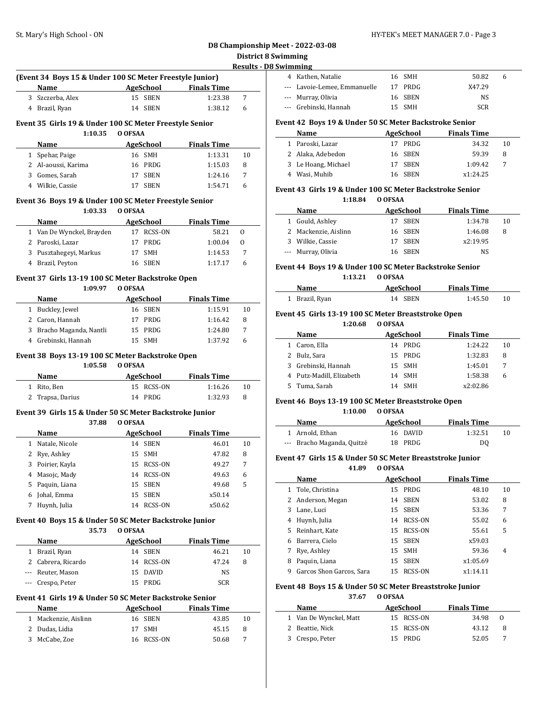#### **D8 Championship Meet - 2022-03-08 imming Results - D8 Swimming**

|   |                                                                    |                  |                      |                    |                    | District 8 Sw<br><b>Results - D8 St</b> |
|---|--------------------------------------------------------------------|------------------|----------------------|--------------------|--------------------|-----------------------------------------|
|   | (Event 34 Boys 15 & Under 100 SC Meter Freestyle Junior)           |                  |                      |                    |                    |                                         |
|   | AgeSchool<br>Name                                                  |                  |                      | <b>Finals Time</b> |                    |                                         |
|   | 3 Szczerba, Alex                                                   |                  | 15 SBEN              |                    | 1:23.38            | 7                                       |
|   | 4 Brazil, Ryan                                                     |                  | 14 SBEN              |                    | 1:38.12            | 6                                       |
|   |                                                                    |                  |                      |                    |                    |                                         |
|   | Event 35 Girls 19 & Under 100 SC Meter Freestyle Senior<br>1:10.35 | O OFSAA          |                      |                    |                    |                                         |
|   |                                                                    |                  |                      |                    |                    |                                         |
|   | Name                                                               |                  | <b>AgeSchool</b>     | <b>Finals Time</b> |                    |                                         |
|   | 1 Spehar, Paige                                                    |                  | 16 SMH<br>16 PRDG    |                    | 1:13.31            | 10                                      |
|   | 2 Al-aoussi, Karima<br>3 Gomes, Sarah                              |                  | 17 SBEN              |                    | 1:15.03<br>1:24.16 | 8<br>7                                  |
|   | 4 Wilkie, Cassie                                                   |                  | 17 SBEN              |                    | 1:54.71            | 6                                       |
|   |                                                                    |                  |                      |                    |                    |                                         |
|   | Event 36 Boys 19 & Under 100 SC Meter Freestyle Senior             |                  |                      |                    |                    |                                         |
|   | 1:03.33                                                            | O OFSAA          |                      |                    |                    |                                         |
|   | <b>Example 3 AgeSchool</b> Finals Time<br>Name                     |                  |                      |                    |                    |                                         |
|   | 1 Van De Wynckel, Brayden                                          |                  | 17 RCSS-ON           |                    | 58.21              | 0                                       |
|   | 2 Paroski, Lazar                                                   |                  | 17 PRDG              |                    | 1:00.04            | 0                                       |
|   | 3 Pusztahegeyi, Markus                                             |                  | 17 SMH               |                    | 1:14.53            | 7                                       |
|   | 4 Brazil, Peyton                                                   |                  | 16 SBEN              |                    | 1:17.17            | 6                                       |
|   | Event 37  Girls 13-19 100 SC Meter Backstroke Open                 |                  |                      |                    |                    |                                         |
|   | 1:09.97 0 OFSAA                                                    |                  |                      |                    |                    |                                         |
|   | Name                                                               |                  | AgeSchool            | <b>Finals Time</b> |                    |                                         |
|   | <u> 1990 - Johann Barbara, m</u><br>1 Buckley, Jewel               |                  | 16 SBEN              |                    | 1:15.91            | 10                                      |
|   | 2 Caron, Hannah                                                    |                  | 17 PRDG              |                    | 1:16.42            | 8                                       |
|   | 3 Bracho Maganda, Nantli                                           |                  | 15 PRDG              |                    | 1:24.80            | 7                                       |
|   |                                                                    |                  |                      |                    |                    |                                         |
|   |                                                                    |                  |                      |                    |                    |                                         |
|   | 4 Grebinski, Hannah                                                | 15 SMH           |                      |                    | 1:37.92            | 6                                       |
|   | Event 38 Boys 13-19 100 SC Meter Backstroke Open                   |                  |                      |                    |                    |                                         |
|   | 1:05.58                                                            | O OFSAA          |                      |                    |                    |                                         |
|   | <b>Example 2018</b> AgeSchool<br>Name                              |                  |                      | <b>Finals Time</b> |                    |                                         |
|   | 1 Rito, Ben                                                        |                  | 15 RCSS-ON           |                    | 1:16.26            | 10                                      |
|   | 2 Trapsa, Darius                                                   |                  | 14 PRDG              |                    | 1:32.93            | 8                                       |
|   |                                                                    |                  |                      |                    |                    |                                         |
|   | Event 39  Girls 15 & Under 50 SC Meter Backstroke Junior<br>37.88  | O OFSAA          |                      |                    |                    |                                         |
|   | Name                                                               |                  |                      | <b>Finals Time</b> |                    |                                         |
|   |                                                                    | <b>AgeSchool</b> | 14 SBEN              |                    | 46.01              | 10                                      |
|   | 1 Natale, Nicole                                                   |                  |                      |                    |                    | 8                                       |
| 3 | 2 Rye, Ashley                                                      | 15<br>15         | SMH                  |                    | 47.82<br>49.27     | 7                                       |
|   | Poirier, Kayla<br>4 Masojc, Mady                                   | 14               | RCSS-ON<br>RCSS-ON   |                    | 49.63              | 6                                       |
| 5 | Paquin, Liana                                                      | 15               | <b>SBEN</b>          |                    | 49.68              | 5                                       |
|   |                                                                    | 15               | <b>SBEN</b>          |                    | x50.14             |                                         |
|   | 6 Johal, Emma                                                      | 14               | RCSS-ON              |                    | x50.62             |                                         |
|   | 7 Huynh, Julia                                                     |                  |                      |                    |                    |                                         |
|   | Event 40 Boys 15 & Under 50 SC Meter Backstroke Junior             |                  |                      |                    |                    |                                         |
|   | 35.73                                                              | O OFSAA          |                      |                    |                    |                                         |
|   | <b>Name</b>                                                        | <b>AgeSchool</b> |                      | <b>Finals Time</b> |                    |                                         |
|   | 1 Brazil, Ryan                                                     |                  | 14 SBEN              |                    | 46.21              | 10                                      |
|   | 2 Cabrera, Ricardo                                                 | 14               | RCSS-ON              |                    | 47.24              | 8                                       |
|   | --- Reuter, Mason<br>Crespo, Peter                                 | 15<br>15         | <b>DAVID</b><br>PRDG |                    | NS<br>SCR          |                                         |

### **Name AgeSchool Finals Time** 1 Mackenzie, Aislinn 16 SBEN 43.85 10 2 Dudas, Lidia 17 SMH 45.15 8 3 McCabe, Zoe 16 RCSS-ON 50.68 7

| wiiiiiiiie                   |         |            |   |  |
|------------------------------|---------|------------|---|--|
| 4 Kathen, Natalie            | 16 SMH  | 50.82      | h |  |
| --- Lavoie-Lemee, Emmanuelle | 17 PRDG | X47.29     |   |  |
| --- Murray, Olivia           | 16 SBEN | NS.        |   |  |
| --- Grebinski, Hannah        | 15 SMH  | <b>SCR</b> |   |  |
|                              |         |            |   |  |

### **Event 42 Boys 19 & Under 50 SC Meter Backstroke Senior**

| Name                | AgeSchool | <b>Finals Time</b> |    |
|---------------------|-----------|--------------------|----|
| 1 Paroski, Lazar    | 17 PRDG   | 34.32              | 10 |
| 2 Alaka, Adebedon   | 16 SBEN   | 59.39              | 8  |
| 3 Le Hoang, Michael | 17 SBEN   | 1:09.42            |    |
| 4 Wasi, Muhib       | 16 SBEN   | x1:24.25           |    |

#### **Event 43 Girls 19 & Under 100 SC Meter Backstroke Senior 1:18.84 O OFSAA**

| Name                 | AgeSchool | <b>Finals Time</b> |    |
|----------------------|-----------|--------------------|----|
| 1 Gould, Ashley      | 17 SBEN   | 1:34.78            | 10 |
| 2 Mackenzie, Aislinn | 16 SBEN   | 1:46.08            | 8  |
| 3 Wilkie, Cassie     | 17 SBEN   | x2:19.95           |    |
| --- Murray, Olivia   | 16 SBEN   | NS.                |    |

#### **Event 44 Boys 19 & Under 100 SC Meter Backstroke Senior 1:13.21 O OFSAA**

### **Name AgeSchool Finals Time** 1 Brazil, Ryan 14 SBEN 1:45.50 10

#### **Event 45 Girls 13-19 100 SC Meter Breaststroke Open**

**1:20.68 O OFSAA**

| Name |                                                                                                 | <b>Finals Time</b>                                   |    |
|------|-------------------------------------------------------------------------------------------------|------------------------------------------------------|----|
|      | 14                                                                                              | 1:24.22                                              | 10 |
|      |                                                                                                 | 1:32.83                                              | 8  |
|      |                                                                                                 | 1:45.01                                              |    |
|      | 14                                                                                              | 1:58.38                                              | h  |
|      | 14                                                                                              | x2:02.86                                             |    |
|      | 1 Caron, Ella<br>2 Bulz, Sara<br>3 Grebinski, Hannah<br>4 Putz-Madill, Elizabeth<br>Tuma, Sarah | AgeSchool<br>PRDG<br>15 PRDG<br>15 SMH<br>SMH<br>SMH |    |

#### **Event 46 Boys 13-19 100 SC Meter Breaststroke Open**

#### **1:10.00 O OFSAA**

| Name                       | AgeSchool | <b>Finals Time</b> |    |
|----------------------------|-----------|--------------------|----|
| 1 Arnold, Ethan            | 16 DAVID  | 1:32.51            | 10 |
| --- Bracho Maganda, Quitzé | 18 PRDG   | DO.                |    |

#### **Event 47 Girls 15 & Under 50 SC Meter Breaststroke Junior**

#### **41.89 O OFSAA**

|    | Name                     | AgeSchool         | <b>Finals Time</b> |                |
|----|--------------------------|-------------------|--------------------|----------------|
|    | Tole, Christina          | PRDG<br>15        | 48.10              | 10             |
|    | 2 Anderson, Megan        | <b>SBEN</b><br>14 | 53.02              | 8              |
| 3  | Lane, Luci               | <b>SBEN</b><br>15 | 53.36              | 7              |
| 4  | Huynh, Julia             | RCSS-ON<br>14     | 55.02              | 6              |
| 5. | Reinhart, Kate           | 15 RCSS-ON        | 55.61              | 5              |
| 6  | Barrera, Cielo           | <b>SBEN</b><br>15 | x59.03             |                |
| 7  | Rye, Ashley              | <b>SMH</b><br>15  | 59.36              | $\overline{4}$ |
| 8  | Paguin, Liana            | <b>SBEN</b><br>15 | x1:05.69           |                |
| 9  | Garcos Shon Garcos, Sara | RCSS-ON<br>15     | x1:14.11           |                |

#### **Event 48 Boys 15 & Under 50 SC Meter Breaststroke Junior**

**37.67 O OFSAA**

| Name                   | AgeSchool  | <b>Finals Time</b> |   |
|------------------------|------------|--------------------|---|
| 1 Van De Wynckel, Matt | 15 RCSS-ON | 34.98 0            |   |
| 2 Beattie, Nick        | 15 RCSS-ON | 43.12              | 8 |
| 3 Crespo, Peter        | 15 PRDG    | 52.05              |   |